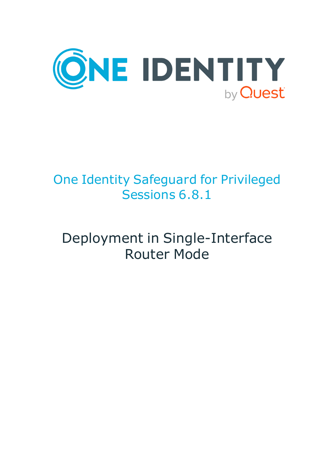

# One Identity Safeguard for Privileged Sessions 6.8.1

# Deployment in Single-Interface Router Mode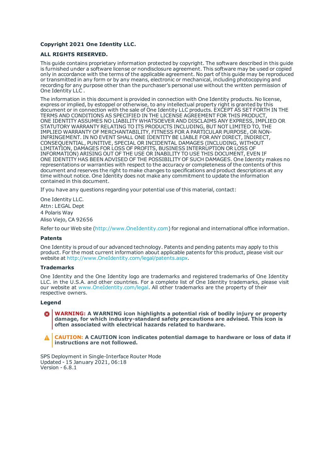#### **Copyright 2021 One Identity LLC.**

#### **ALL RIGHTS RESERVED.**

This guide contains proprietary information protected by copyright. The software described in this guide is furnished under a software license or nondisclosure agreement. This software may be used or copied only in accordance with the terms of the applicable agreement. No part of this guide may be reproduced or transmitted in any form or by any means, electronic or mechanical, including photocopying and recording for any purpose other than the purchaser's personal use without the written permission of One Identity LLC .

The information in this document is provided in connection with One Identity products. No license, express or implied, by estoppel or otherwise, to any intellectual property right is granted by this document or in connection with the sale of One Identity LLC products. EXCEPT AS SET FORTH IN THE TERMS AND CONDITIONS AS SPECIFIED IN THE LICENSE AGREEMENT FOR THIS PRODUCT, ONE IDENTITY ASSUMES NO LIABILITY WHATSOEVER AND DISCLAIMS ANY EXPRESS, IMPLIED OR STATUTORY WARRANTY RELATING TO ITS PRODUCTS INCLUDING, BUT NOT LIMITED TO, THE IMPLIED WARRANTY OF MERCHANTABILITY, FITNESS FOR A PARTICULAR PURPOSE, OR NON-INFRINGEMENT. IN NO EVENT SHALL ONE IDENTITY BE LIABLE FOR ANY DIRECT, INDIRECT, CONSEQUENTIAL, PUNITIVE, SPECIAL OR INCIDENTAL DAMAGES (INCLUDING, WITHOUT LIMITATION, DAMAGES FOR LOSS OF PROFITS, BUSINESS INTERRUPTION OR LOSS OF INFORMATION) ARISING OUT OF THE USE OR INABILITY TO USE THIS DOCUMENT, EVEN IF ONE IDENTITY HAS BEEN ADVISED OF THE POSSIBILITY OF SUCH DAMAGES. One Identity makes no representations or warranties with respect to the accuracy or completeness of the contents of this document and reserves the right to make changes to specifications and product descriptions at any time without notice. One Identity does not make any commitment to update the information contained in this document.

If you have any questions regarding your potential use of this material, contact:

One Identity LLC. Attn: LEGAL Dept 4 Polaris Way Aliso Viejo, CA 92656

Refer to our Web site ([http://www.OneIdentity.com](http://www.oneidentity.com/)) for regional and international office information.

#### **Patents**

One Identity is proud of our advanced technology. Patents and pending patents may apply to this product. For the most current information about applicable patents for this product, please visit our website at [http://www.OneIdentity.com/legal/patents.aspx](http://www.oneidentity.com/legal/patents.aspx).

#### **Trademarks**

One Identity and the One Identity logo are trademarks and registered trademarks of One Identity LLC. in the U.S.A. and other countries. For a complete list of One Identity trademarks, please visit our website at [www.OneIdentity.com/legal](http://www.oneidentity.com/legal). All other trademarks are the property of their respective owners.

#### **Legend**

**WARNING: A WARNING icon highlights a potential risk of bodily injury or property damage, for which industry-standard safety precautions are advised. This icon is often associated with electrical hazards related to hardware.**

**CAUTION: A CAUTION icon indicates potential damage to hardware or loss of data if** A **instructions are not followed.**

SPS Deployment in Single-Interface Router Mode Updated - 15 January 2021, 06:18 Version - 6.8.1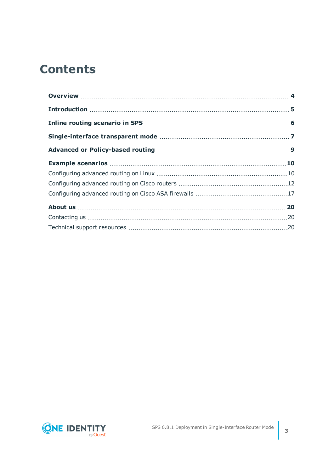### **Contents**

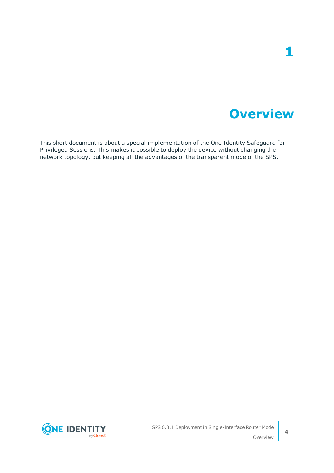### **Overview**

<span id="page-3-0"></span>This short document is about a special implementation of the One Identity Safeguard for Privileged Sessions. This makes it possible to deploy the device without changing the network topology, but keeping all the advantages of the transparent mode of the SPS.

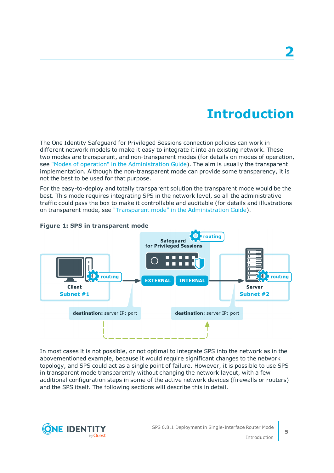## **Introduction**

<span id="page-4-0"></span>The One Identity Safeguard for Privileged Sessions connection policies can work in different network models to make it easy to integrate it into an existing network. These two modes are transparent, and non-transparent modes (for details on modes of operation, see "Modes of operation" in the [Administration](https://support.oneidentity.com/technical-documents/safeguard-for-privileged-sessions/6.8.1/administration-guide/the-concepts-of-one-identity-safeguard-for-privileged-sessions-sps/modes-of-operation/) Guide). The aim is usually the transparent implementation. Although the non-transparent mode can provide some transparency, it is not the best to be used for that purpose.

For the easy-to-deploy and totally transparent solution the transparent mode would be the best. This mode requires integrating SPS in the network level, so all the administrative traffic could pass the box to make it controllable and auditable (for details and illustrations on transparent mode, see "Transparent mode" in the [Administration](https://support.oneidentity.com/technical-documents/safeguard-for-privileged-sessions/6.8.1/administration-guide/the-concepts-of-one-identity-safeguard-for-privileged-sessions-sps/modes-of-operation/transparent-mode/) Guide).



#### **Figure 1: SPS in transparent mode**

In most cases it is not possible, or not optimal to integrate SPS into the network as in the abovementioned example, because it would require significant changes to the network topology, and SPS could act as a single point of failure. However, it is possible to use SPS in transparent mode transparently without changing the network layout, with a few additional configuration steps in some of the active network devices (firewalls or routers) and the SPS itself. The following sections will describe this in detail.

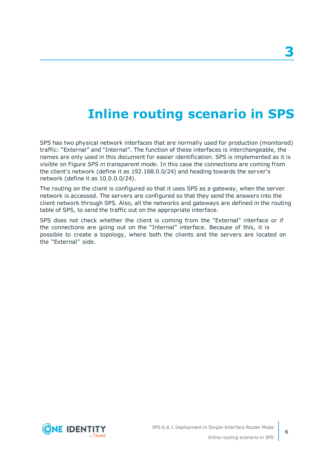### **Inline routing scenario in SPS**

<span id="page-5-0"></span>SPS has two physical network interfaces that are normally used for production (monitored) traffic: "External" and "Internal". The function of these interfaces is interchangeable, the names are only used in this document for easier identification. SPS is implemented as it is visible on Figure *SPS in transparent mode*. In this case the connections are coming from the client's network (define it as 192.168.0.0/24) and heading towards the server's network (define it as 10.0.0.0/24).

The routing on the client is configured so that it uses SPS as a gateway, when the server network is accessed. The servers are configured so that they send the answers into the client network through SPS. Also, all the networks and gateways are defined in the routing table of SPS, to send the traffic out on the appropriate interface.

SPS does not check whether the client is coming from the "External" interface or if the connections are going out on the "Internal" interface. Because of this, it is possible to create a topology, where both the clients and the servers are located on the "External" side.

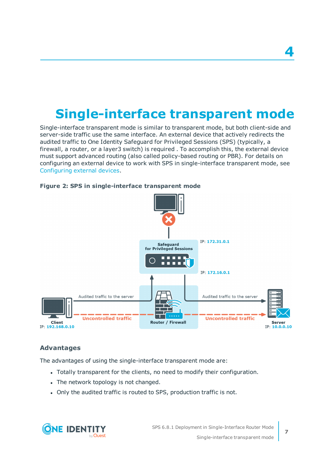## <span id="page-6-0"></span>**Single-interface transparent mode**

Single-interface transparent mode is similar to transparent mode, but both client-side and server-side traffic use the same interface. An external device that actively redirects the audited traffic to One Identity Safeguard for Privileged Sessions (SPS) (typically, a firewall, a router, or a layer3 switch) is required . To accomplish this, the external device must support advanced routing (also called policy-based routing or PBR). For details on configuring an external device to work with SPS in single-interface transparent mode, see Configuring external devices.



#### **Figure 2: SPS in single-interface transparent mode**

### **Advantages**

The advantages of using the single-interface transparent mode are:

- Totally transparent for the clients, no need to modify their configuration.
- The network topology is not changed.
- Only the audited traffic is routed to SPS, production traffic is not.

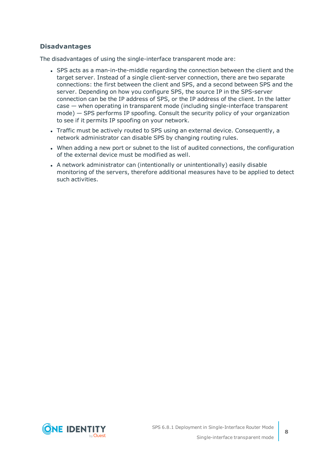### **Disadvantages**

The disadvantages of using the single-interface transparent mode are:

- SPS acts as a man-in-the-middle regarding the connection between the client and the target server. Instead of a single client-server connection, there are two separate connections: the first between the client and SPS, and a second between SPS and the server. Depending on how you configure SPS, the source IP in the SPS-server connection can be the IP address of SPS, or the IP address of the client. In the latter case — when operating in transparent mode (including single-interface transparent mode) — SPS performs IP spoofing. Consult the security policy of your organization to see if it permits IP spoofing on your network.
- Traffic must be actively routed to SPS using an external device. Consequently, a network administrator can disable SPS by changing routing rules.
- When adding a new port or subnet to the list of audited connections, the configuration of the external device must be modified as well.
- A network administrator can (intentionally or unintentionally) easily disable monitoring of the servers, therefore additional measures have to be applied to detect such activities.

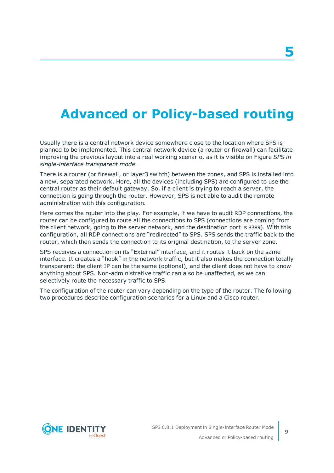### <span id="page-8-0"></span>**Advanced or Policy-based routing**

Usually there is a central network device somewhere close to the location where SPS is planned to be implemented. This central network device (a router or firewall) can facilitate improving the previous layout into a real working scenario, as it is visible on Figure *SPS in single-interface transparent mode*.

There is a router (or firewall, or layer3 switch) between the zones, and SPS is installed into a new, separated network. Here, all the devices (including SPS) are configured to use the central router as their default gateway. So, if a client is trying to reach a server, the connection is going through the router. However, SPS is not able to audit the remote administration with this configuration.

Here comes the router into the play. For example, if we have to audit RDP connections, the router can be configured to route all the connections to SPS (connections are coming from the client network, going to the server network, and the destination port is 3389). With this configuration, all RDP connections are "redirected" to SPS. SPS sends the traffic back to the router, which then sends the connection to its original destination, to the server zone.

SPS receives a connection on its "External" interface, and it routes it back on the same interface. It creates a "hook" in the network traffic, but it also makes the connection totally transparent: the client IP can be the same (optional), and the client does not have to know anything about SPS. Non-administrative traffic can also be unaffected, as we can selectively route the necessary traffic to SPS.

The configuration of the router can vary depending on the type of the router. The following two procedures describe configuration scenarios for a Linux and a Cisco router.

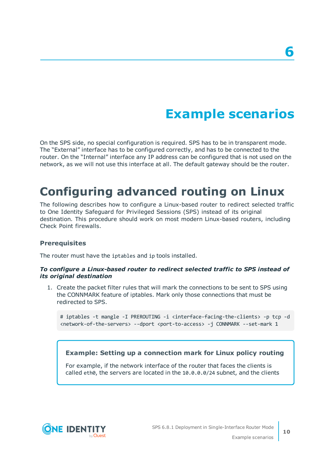## **Example scenarios**

<span id="page-9-0"></span>On the SPS side, no special configuration is required. SPS has to be in transparent mode. The "External" interface has to be configured correctly, and has to be connected to the router. On the "Internal" interface any IP address can be configured that is not used on the network, as we will not use this interface at all. The default gateway should be the router.

### <span id="page-9-1"></span>**Configuring advanced routing on Linux**

The following describes how to configure a Linux-based router to redirect selected traffic to One Identity Safeguard for Privileged Sessions (SPS) instead of its original destination. This procedure should work on most modern Linux-based routers, including Check Point firewalls.

#### **Prerequisites**

The router must have the iptables and ip tools installed.

#### *To configure a Linux-based router to redirect selected traffic to SPS instead of its original destination*

1. Create the packet filter rules that will mark the connections to be sent to SPS using the CONNMARK feature of iptables. Mark only those connections that must be redirected to SPS.

# iptables -t mangle -I PREROUTING -i <interface-facing-the-clients> -p tcp -d <network-of-the-servers> --dport <port-to-access> -j CONNMARK --set-mark 1

#### **Example: Setting up a connection mark for Linux policy routing**

For example, if the network interface of the router that faces the clients is called eth0, the servers are located in the 10.0.0.0/24 subnet, and the clients

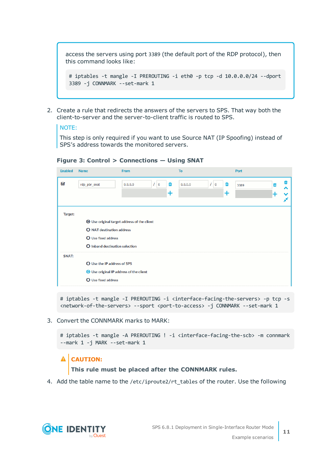access the servers using port 3389 (the default port of the RDP protocol), then this command looks like:

# iptables -t mangle -I PREROUTING -i eth0 -p tcp -d 10.0.0.0/24 --dport 3389 -j CONNMARK --set-mark 1

2. Create a rule that redirects the answers of the servers to SPS. That way both the client-to-server and the server-to-client traffic is routed to SPS.

#### NOTE:

This step is only required if you want to use Source NAT (IP Spoofing) instead of SPS's address towards the monitored servers.

| <b>Enabled</b> | <b>Name</b>                                 | <b>From</b>                                | <b>To</b>                       | Port                |  |  |  |
|----------------|---------------------------------------------|--------------------------------------------|---------------------------------|---------------------|--|--|--|
| Ø              | rdp_pbr_snat                                | $\frac{1}{0}$<br>龠<br>0.0.0.0<br>$\ddot{}$ | $\sqrt{0}$<br>Ŵ<br>0.0.0.0<br>+ | 3389<br>Ш<br>^<br>× |  |  |  |
| Target:        |                                             |                                            |                                 |                     |  |  |  |
|                | ◯ Use original target address of the client |                                            |                                 |                     |  |  |  |
|                | <b>O</b> NAT destination address            |                                            |                                 |                     |  |  |  |
|                | O Use fixed address                         |                                            |                                 |                     |  |  |  |
|                | O Inband destination selection              |                                            |                                 |                     |  |  |  |
| <b>SNAT:</b>   |                                             |                                            |                                 |                     |  |  |  |
|                | <b>O</b> Use the IP address of SPS          |                                            |                                 |                     |  |  |  |
|                | ◯ Use original IP address of the client     |                                            |                                 |                     |  |  |  |
|                | <b>O</b> Use fixed address                  |                                            |                                 |                     |  |  |  |

**Figure 3: Control > Connections — Using SNAT**

# iptables -t mangle -I PREROUTING -i <interface-facing-the-servers> -p tcp -s <network-of-the-servers> --sport <port-to-access> -j CONNMARK --set-mark 1

3. Convert the CONNMARK marks to MARK:

# iptables -t mangle -A PREROUTING ! -i <interface-facing-the-scb> -m connmark --mark 1 -j MARK --set-mark 1

### **A** CAUTION:

**This rule must be placed after the CONNMARK rules.**

4. Add the table name to the /etc/iproute2/rt\_tables of the router. Use the following

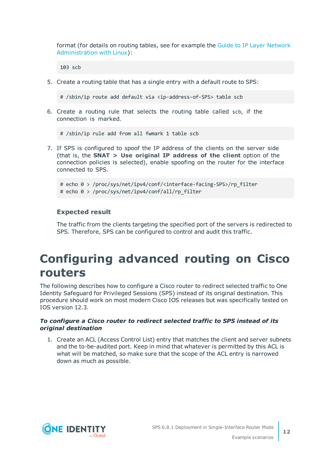format (for details on routing tables, see for example the Guide to IP Layer [Network](http://linux-ip.net/html/routing-tables.html) [Administration](http://linux-ip.net/html/routing-tables.html) with Linux):

103 scb

5. Create a routing table that has a single entry with a default route to SPS:

# /sbin/ip route add default via <ip-address-of-SPS> table scb

6. Create a routing rule that selects the routing table called scb, if the connection is marked.

# /sbin/ip rule add from all fwmark 1 table scb

7. If SPS is configured to spoof the IP address of the clients on the server side (that is, the **SNAT > Use original IP address of the client** option of the connection policies is selected), enable spoofing on the router for the interface connected to SPS.

```
# echo 0 > /proc/sys/net/ipv4/conf/<interface-facing-SPS>/rp_filter
# echo 0 > /proc/sys/net/ipv4/conf/all/rp_filter
```
### **Expected result**

The traffic from the clients targeting the specified port of the servers is redirected to SPS. Therefore, SPS can be configured to control and audit this traffic.

### <span id="page-11-0"></span>**Configuring advanced routing on Cisco routers**

The following describes how to configure a Cisco router to redirect selected traffic to One Identity Safeguard for Privileged Sessions (SPS) instead of its original destination. This procedure should work on most modern Cisco IOS releases but was specifically tested on IOS version 12.3.

#### *To configure a Cisco router to redirect selected traffic to SPS instead of its original destination*

1. Create an ACL (Access Control List) entry that matches the client and server subnets and the to-be-audited port. Keep in mind that whatever is permitted by this ACL is what will be matched, so make sure that the scope of the ACL entry is narrowed down as much as possible.

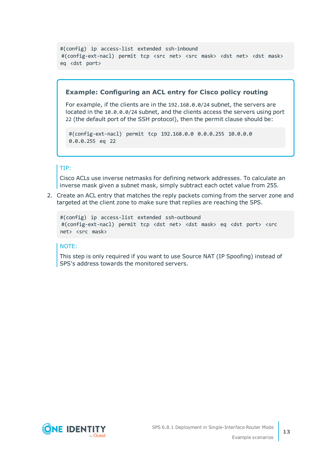```
#(config) ip access-list extended ssh-inbound
#(config-ext-nacl) permit tcp <src net> <src mask> <dst net> <dst mask>
eq <dst port>
```
#### **Example: Configuring an ACL entry for Cisco policy routing**

For example, if the clients are in the 192.168.0.0/24 subnet, the servers are located in the 10.0.0.0/24 subnet, and the clients access the servers using port 22 (the default port of the SSH protocol), then the permit clause should be:

#(config-ext-nacl) permit tcp 192.168.0.0 0.0.0.255 10.0.0.0 0.0.0.255 eq 22

#### TIP:

Cisco ACLs use inverse netmasks for defining network addresses. To calculate an inverse mask given a subnet mask, simply subtract each octet value from 255.

2. Create an ACL entry that matches the reply packets coming from the server zone and targeted at the client zone to make sure that replies are reaching the SPS.

```
#(config) ip access-list extended ssh-outbound
#(config-ext-nacl) permit tcp <dst net> <dst mask> eq <dst port> <src
net> <src mask>
```
#### NOTE:

This step is only required if you want to use Source NAT (IP Spoofing) instead of SPS's address towards the monitored servers.

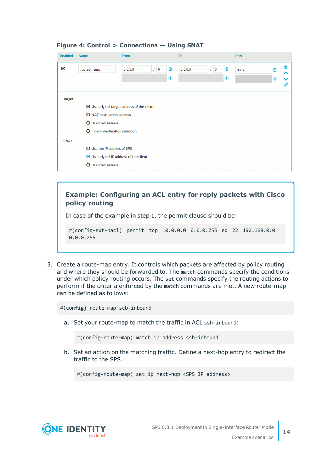| <b>Enabled</b> | <b>Name</b>                                                                                                                                            | <b>From</b>                                    | To                                  | Port                               |  |  |  |
|----------------|--------------------------------------------------------------------------------------------------------------------------------------------------------|------------------------------------------------|-------------------------------------|------------------------------------|--|--|--|
| K              | rdp_pbr_snat                                                                                                                                           | $\mathcal{L}$ 0<br>面<br>0.0.0.0<br>$\mathbf +$ | $\frac{1}{10}$<br>面<br>0.0.0.0<br>٠ | 而<br>m<br>3389<br>ㅅ<br>╊<br>v<br>× |  |  |  |
| Target:        | ◯ Use original target address of the client<br><b>O</b> NAT destination address<br><b>O</b> Use fixed address<br><b>O</b> Inband destination selection |                                                |                                     |                                    |  |  |  |
| <b>SNAT:</b>   | O Use the IP address of SPS<br>◯ Use original IP address of the client<br><b>O</b> Use fixed address                                                   |                                                |                                     |                                    |  |  |  |

#### **Figure 4: Control > Connections — Using SNAT**

### **Example: Configuring an ACL entry for reply packets with Cisco policy routing**

In case of the example in step 1, the permit clause should be:

#(config-ext-nacl) permit tcp 10.0.0.0 0.0.0.255 eq 22 192.168.0.0 0.0.0.255

3. Create a route-map entry. It controls which packets are affected by policy routing and where they should be forwarded to. The match commands specify the conditions under which policy routing occurs. The set commands specify the routing actions to perform if the criteria enforced by the match commands are met. A new route-map can be defined as follows:

#(config) route-map scb-inbound

a. Set your route-map to match the traffic in ACL ssh-inbound:

#(config-route-map) match ip address ssh-inbound

b. Set an action on the matching traffic. Define a next-hop entry to redirect the traffic to the SPS.

#(config-route-map) set ip next-hop <SPS IP address>

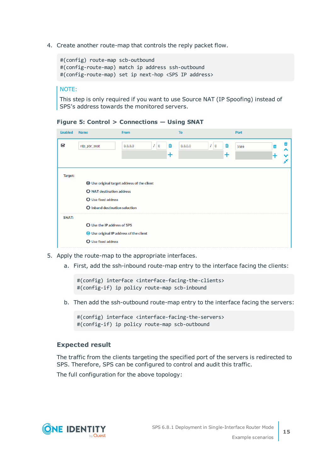4. Create another route-map that controls the reply packet flow.

```
#(config) route-map scb-outbound
#(config-route-map) match ip address ssh-outbound
#(config-route-map) set ip next-hop <SPS IP address>
```
NOTE:

This step is only required if you want to use Source NAT (IP Spoofing) instead of SPS's address towards the monitored servers.

| <b>Enabled</b> | <b>Name</b>                                                                                                                                            | <b>From</b>              | <b>To</b>        |         |                         | Port |   |                  |
|----------------|--------------------------------------------------------------------------------------------------------------------------------------------------------|--------------------------|------------------|---------|-------------------------|------|---|------------------|
| Ø              | rdp_pbr_snat                                                                                                                                           | $\frac{1}{0}$<br>0.0.0.0 | Ŵ<br>$\mathbf +$ | 0.0.0.0 | $\frac{1}{0}$<br>Ŵ<br>+ | 3389 | Ŵ | 面<br>ㅅ<br>▽<br>× |
| Target:        | ◯ Use original target address of the client<br><b>O</b> NAT destination address<br><b>O</b> Use fixed address<br><b>O</b> Inband destination selection |                          |                  |         |                         |      |   |                  |
| <b>SNAT:</b>   | <b>O</b> Use the IP address of SPS<br>◯ Use original IP address of the client<br><b>O</b> Use fixed address                                            |                          |                  |         |                         |      |   |                  |

#### **Figure 5: Control > Connections — Using SNAT**

- 5. Apply the route-map to the appropriate interfaces.
	- a. First, add the ssh-inbound route-map entry to the interface facing the clients:

#(config) interface <interface-facing-the-clients> #(config-if) ip policy route-map scb-inbound

b. Then add the ssh-outbound route-map entry to the interface facing the servers:

#(config) interface <interface-facing-the-servers> #(config-if) ip policy route-map scb-outbound

#### **Expected result**

The traffic from the clients targeting the specified port of the servers is redirected to SPS. Therefore, SPS can be configured to control and audit this traffic.

The full configuration for the above topology:

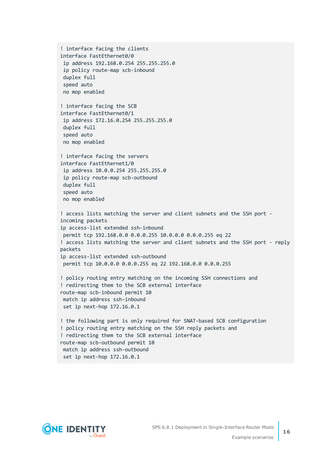```
! interface facing the clients
interface FastEthernet0/0
ip address 192.168.0.254 255.255.255.0
ip policy route-map scb-inbound
duplex full
speed auto
no mop enabled
! interface facing the SCB
interface FastEthernet0/1
ip address 172.16.0.254 255.255.255.0
duplex full
speed auto
no mop enabled
! interface facing the servers
interface FastEthernet1/0
ip address 10.0.0.254 255.255.255.0
ip policy route-map scb-outbound
duplex full
speed auto
no mop enabled
! access lists matching the server and client subnets and the SSH port -
incoming packets
ip access-list extended ssh-inbound
permit tcp 192.168.0.0 0.0.0.255 10.0.0.0 0.0.0.255 eq 22
! access lists matching the server and client subnets and the SSH port - reply
packets
ip access-list extended ssh-outbound
permit tcp 10.0.0.0 0.0.0.255 eq 22 192.168.0.0 0.0.0.255
! policy routing entry matching on the incoming SSH connections and
! redirecting them to the SCB external interface
route-map scb-inbound permit 10
match ip address ssh-inbound
set ip next-hop 172.16.0.1
! the following part is only required for SNAT-based SCB configuration
! policy routing entry matching on the SSH reply packets and
! redirecting them to the SCB external interface
route-map scb-outbound permit 10
match ip address ssh-outbound
set ip next-hop 172.16.0.1
```
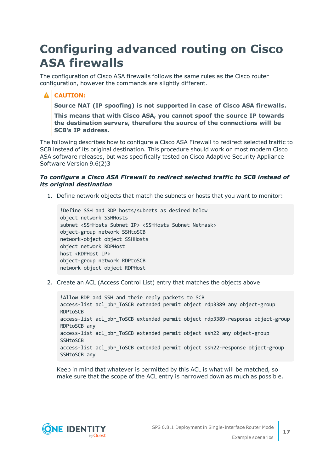## <span id="page-16-0"></span>**Configuring advanced routing on Cisco ASA firewalls**

The configuration of Cisco ASA firewalls follows the same rules as the Cisco router configuration, however the commands are slightly different.

### **A** CAUTION:

**Source NAT (IP spoofing) is not supported in case of Cisco ASA firewalls.**

**This means that with Cisco ASA, you cannot spoof the source IP towards the destination servers, therefore the source of the connections will be SCB's IP address.**

The following describes how to configure a Cisco ASA Firewall to redirect selected traffic to SCB instead of its original destination. This procedure should work on most modern Cisco ASA software releases, but was specifically tested on Cisco Adaptive Security Appliance Software Version 9.6(2)3

#### *To configure a Cisco ASA Firewall to redirect selected traffic to SCB instead of its original destination*

1. Define network objects that match the subnets or hosts that you want to monitor:

```
!Define SSH and RDP hosts/subnets as desired below
object network SSHHosts
subnet <SSHHosts Subnet IP> <SSHHosts Subnet Netmask>
object-group network SSHtoSCB
network-object object SSHHosts
object network RDPHost
host <RDPHost IP>
object-group network RDPtoSCB
network-object object RDPHost
```
2. Create an ACL (Access Control List) entry that matches the objects above

!Allow RDP and SSH and their reply packets to SCB access-list acl pbr ToSCB extended permit object rdp3389 any object-group RDPtoSCB access-list acl\_pbr\_ToSCB extended permit object rdp3389-response object-group RDPtoSCB any access-list acl\_pbr\_ToSCB extended permit object ssh22 any object-group SSHtoSCB access-list acl pbr ToSCB extended permit object ssh22-response object-group SSHtoSCB any

Keep in mind that whatever is permitted by this ACL is what will be matched, so make sure that the scope of the ACL entry is narrowed down as much as possible.

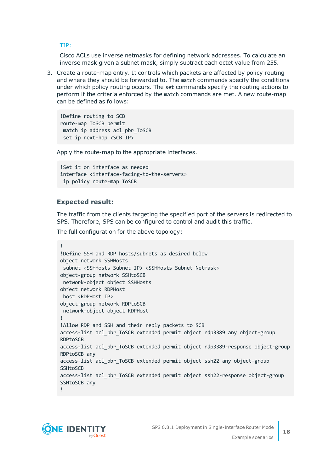TIP:

Cisco ACLs use inverse netmasks for defining network addresses. To calculate an inverse mask given a subnet mask, simply subtract each octet value from 255.

3. Create a route-map entry. It controls which packets are affected by policy routing and where they should be forwarded to. The match commands specify the conditions under which policy routing occurs. The set commands specify the routing actions to perform if the criteria enforced by the match commands are met. A new route-map can be defined as follows:

!Define routing to SCB route-map ToSCB permit match ip address acl\_pbr\_ToSCB set ip next-hop <SCB IP>

Apply the route-map to the appropriate interfaces.

```
!Set it on interface as needed
interface <interface-facing-to-the-servers>
ip policy route-map ToSCB
```
#### **Expected result:**

The traffic from the clients targeting the specified port of the servers is redirected to SPS. Therefore, SPS can be configured to control and audit this traffic.

The full configuration for the above topology:

```
!
!Define SSH and RDP hosts/subnets as desired below
object network SSHHosts
 subnet <SSHHosts Subnet IP> <SSHHosts Subnet Netmask>
object-group network SSHtoSCB
network-object object SSHHosts
object network RDPHost
host <RDPHost IP>
object-group network RDPtoSCB
network-object object RDPHost
!
!Allow RDP and SSH and their reply packets to SCB
access-list acl_pbr_ToSCB extended permit object rdp3389 any object-group
RDPtoSCB
access-list acl_pbr_ToSCB extended permit object rdp3389-response object-group
RDPtoSCB any
access-list acl_pbr_ToSCB extended permit object ssh22 any object-group
SSHtoSCB
access-list acl_pbr_ToSCB extended permit object ssh22-response object-group
SSHtoSCB any
!
```
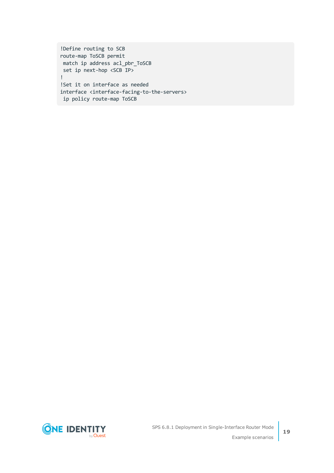!Define routing to SCB route-map ToSCB permit match ip address acl\_pbr\_ToSCB set ip next-hop <SCB IP> ! !Set it on interface as needed interface <interface-facing-to-the-servers> ip policy route-map ToSCB